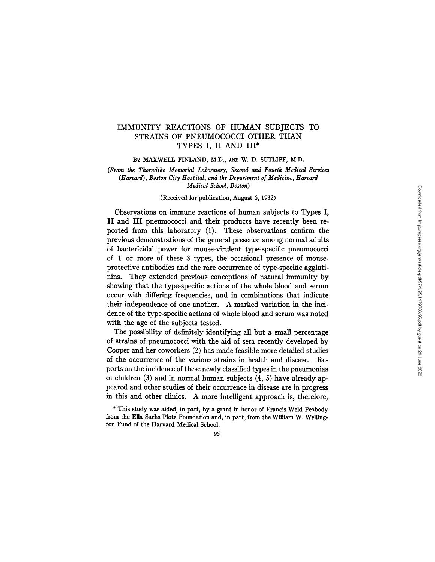# IMMUNITY REACTIONS OF HUMAN SUBJECTS TO STRAINS OF PNEUMOCOCCI OTHER THAN TYPES I, II AND III\*

BY MAXWELL FINLAND, M.D., AND W. D. SUTLIFF, M.D.

(From *the Thorndike Memorial Laboratory, Second and Fourth Medical Services (Harvard), Boston City Hospital, and the Department of Medicine, Harvard Medical School, Boston)* 

#### (Received for publication, August 6, 1932)

Observations on immune reactions of human subjects to Types I, II and III pneumococci and their products have recently been reported from this laboratory (1). These observations confirm the previous demonstrations of the general presence among normal adults of bactericidal power for mouse-virulent type-specific pneumococci of 1 or more of these 3 types, the occasional presence of mouseprotective antibodies and the rare occurrence of type-specific agglutinins. They extended previous conceptions of natural immunity by showing that the type-specific actions of the whole blood and serum occur with differing frequencies, and in combinations that indicate their independence of one another. A marked variation in the incidence of the type-specific actions of whole blood and serum was noted with the age of the subjects tested.

The possibility of definitely identifying all but a small percentage of strains of pneumococci with the aid of sera recently developed by Cooper and her coworkers (2) has made feasible more detailed studies of the occurrence of the various strains in health and disease. Reports on the incidence of these newly classified types in the pneumonias of children (3) and in normal human subjects (4, 5) have already appeared and other studies of their occurrence in disease are in progress in this and other clinics. A more intelligent approach is, therefore,

\* This study was aided, in part, by a grant in honor of Francis Weld Peabody from the Ella Sachs Plotz Foundation and, in part, from the William W. Wellington Fund of the Harvard Medical School.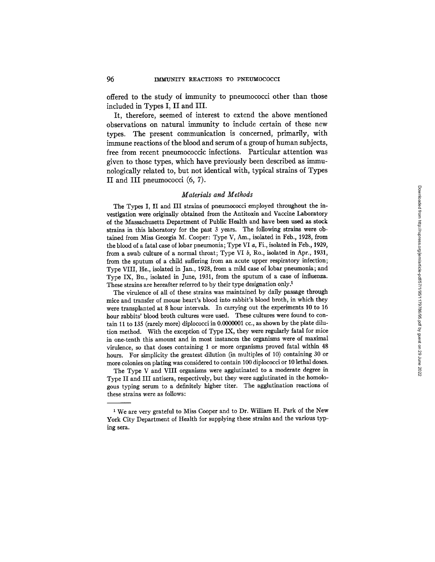offered to the study of immunity to pneumococci other than those included in Types I, II and III.

It, therefore, seemed of interest to extend the above mentioned observations on natural immunity to include certain of these new types. The present communication is concerned, primarily, with immune reactions of the blood and serum of a group of human subjects, free from recent pneumococcic infections. Particular attention was given to those types, which have previously been described as immunologically related to, but not identical with, typical strains of Types II and III pneumococci (6, 7).

# *Materials and Methods*

The Types I, II and III strains of pneumococci employed throughout the investigation were originally obtained from the Antitoxin and Vaccine Laboratory of the Massachusetts Department of Public Health and have been used as stock strains in this laboratory for the past 3 years. The following strains were obtained from Miss Georgia M. Cooper: Type V, Am., isolated in Feb., 1928, from the blood of a fatal case of lobar pneumonia; Type VI a, Fi., isolated in Feb., 1929, from a swab culture of a normal throat; Type VI b, Ro., isolated in Apr., 1931, from the sputum of a child suffering from an acute upper respiratory infection; Type VIII, He., isolated in Jan., 1928, from a mild case of lobar pneumonia: and Type IX, Bu., isolated in June, 1931, from the sputum of a case of influenza. These strains are hereafter referred to by their type designation only.<sup>1</sup>

The virulence of all of these strains was maintained by daily passage through mice and transfer of mouse heart's blood into rabbit's blood broth, in which they were transplanted at 8 hour intervals. In carrying out the experiments 10 to 16 hour rabbits' blood broth cultures were used. These cultures were found to contain 11 to 135 (rarely more) diplococci in 0.0000001 cc., as shown by the plate dilution method. With the exception of Type IX, they were regularly fatal for mice in one-tenth this amount and in most instances the organisms were of maximal virulence, so that doses containing 1 or more organisms proved fatal within 48 hours. For simplicity the greatest dilution (in multiples of 10) containing 30 or more colonies on plating was considered to contain 100 diplococci or 10 lethal doses.

The Type V and VIII organisms were agglutinated to a moderate degree in Type II and III antisera, respectively, but they were agglutinated in the homologous typing serum to a definitely higher titer. The agglutination reactions of these strains were as follows:

<sup>1</sup> We are very grateful to Miss Cooper and to Dr. William H. Park of the New York City Department of Health for supplying these strains and the various typing sera.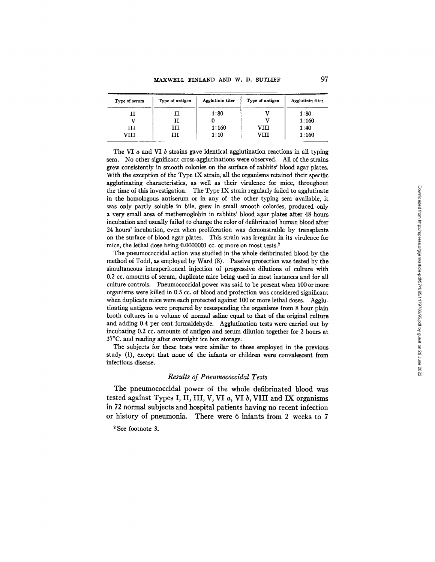| Type of serum | Type of antigen | Agglutinin titer | Type of antigen | Agglutinin titer |  |  |
|---------------|-----------------|------------------|-----------------|------------------|--|--|
|               |                 | 1:80             |                 | 1:80             |  |  |
|               |                 |                  |                 | 1:160            |  |  |
| ш             |                 | 1:160            | VIII            | 1:40             |  |  |
| VIII          |                 | 1:10             | VIII            | 1:160            |  |  |

The VI  $a$  and VI  $b$  strains gave identical agglutination reactions in all typing sera. No other significant cross-agglutinations were observed. All of the strains grew consistently in smooth colonies on the surface of rabbits' blood agar plates. With the exception of the Type IX strain, all the organisms retained their specific agglutinating characteristics, as well as their virulence for mice, throughout the time of this investigation. The Type IX strain regularly failed to agglutinate in the homologous antiserum or in any of the other typing sera available, it was only partly soluble in bile, grew in small smooth colonies, produced only a very small area of methemoglobin in rabbits' blood agar plates after 48 hours incubation and usually failed to change the color of defibrinated human blood after 24 hours' incubation, even when proliferation was demonstrable by transplants on the surface of blood agar plates. This strain was irregular in its virulence for mice, the lethal dose being 0.0000001 cc. or more on most tests?

The pneumococcidal action was studied in the whole defibrinated blood by the method of Todd, as employed by Ward (8). Passive protection was tested by the simultaneous intraperitoneal injection of progressive dilutions of culture with 0.2 cc. amounts of serum, duplicate mice being used in most instances and for all culture controls. Pneumococcidal power was said to be present when 100 or more organisms were killed in 0.5 cc. of blood and protection was considered significant when duplicate mice were each protected against 100 or more lethal doses. Agglutinating antigens were prepared by resuspending the organisms from 8 hour plain broth cultures in a volume of normal saline equal to that of the original culture and adding 0.4 per cent formaldehyde. Agglutination tests were carried out by incubating 0.2 cc. amounts of antigen and serum dilution together for 2 hours at 37°C. and reading after overnight ice box storage.

The subjects for these tests were similar to those employed in the previous study (1), except that none of the infants or children were convalescent from infectious disease.

## *Results of Pneumococcidal Tests*

The pneumococcidal power of the whole defibrinated blood was tested against Types I, II, III, V, VI  $a$ , VI  $b$ , VIII and IX organisms in 72 normal subjects and hospital patients having no recent infection or history of pneumonia. There were 6 infants from 2 weeks to 7

<sup>2</sup> See footnote 3.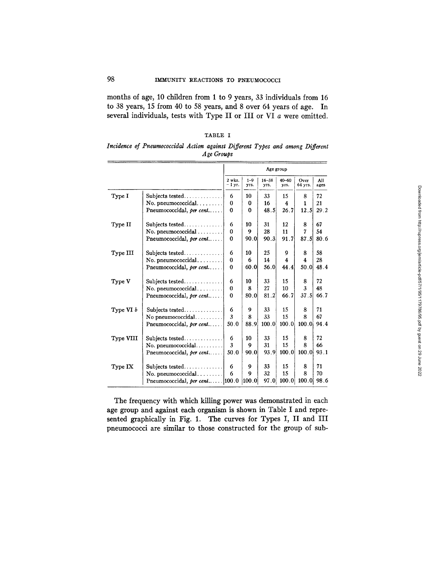months of age, 10 children from 1 to 9 years, 33 individuals from 16 to 38 years, 15 from 40 to 58 years, and 8 over 64 years of age. In several individuals, tests with Type II or III or VI  $a$  were omitted.

| ×<br>.,<br>٧ |  |
|--------------|--|
|--------------|--|

*Incidence of Pneumococcidal Action against Different Types and among Different Age Groups* 

|           |                                      |                    |                 |                   | Age group               |                         |             |
|-----------|--------------------------------------|--------------------|-----------------|-------------------|-------------------------|-------------------------|-------------|
|           |                                      | 2 wks.<br>$-1 yr.$ | $1 - 9$<br>yrs. | $16 - 38$<br>yrs. | $40 - 60$<br>yrs.       | Over<br>64 yrs.         | All<br>ages |
| Type I    | Subjects tested                      | 6                  | 10              | 33                | 15                      | 8                       | 72          |
|           | $No.$ pneumococcidal                 | $\Omega$           | 0               | 16                | 4                       | 1                       | 21          |
|           | Pneumococcidal, per cent             | $\bf{0}$           | 0               | 48.5              | 26.7                    | 12.5                    | 29.2        |
| Type II   |                                      | 6                  | 10              | 31                | 12                      | 8                       | 67          |
|           | No. pneumococcidal $\dots\dots\dots$ | $\bf{0}$           | 9               | 28                | 11                      | 7                       | 54          |
|           | Pneumococcidal, per cent             | $\mathbf 0$        | 90.0            | 90.3              | 91.7                    | 87.5                    | 80.6        |
| Type III  | Subjects tested                      | 6                  | 10              | 25                | 9                       | 8                       | 58          |
|           | No. pneumococcidal                   | $\mathbf{0}$       | 6               | 14                | $\overline{\mathbf{4}}$ | $\overline{\mathbf{4}}$ | 28          |
|           | Pneumococcidal, per cent             | $\bf{0}$           | 60.0            | 56.0              | 44.4                    | 50.0                    | 48.4        |
| Type V    | Subjects tested                      | 6                  | 10              | 33                | 15                      | 8                       | 72          |
|           | $No.$ pneumococcidal                 | 0                  | 8               | 27                | 10                      | 3                       | 48          |
|           | Pneumococcidal, per cent             | $\bf{0}$           | 80.0            | 81.2              | 66.7                    | 37.5                    | 66.7        |
| Type VI b |                                      | 6                  | 9               | 33                | 15                      | 8                       | 71          |
|           | No pneumococcidal                    | 3                  | 8               | 33                | 15                      | 8                       | 67          |
|           | Pneumococcidal, per cent             | 50.0               | 88.9            | 100.0             | 100.0                   | 100.0                   | 94.4        |
| Type VIII | Subjects tested                      | 6                  | 10              | 33                | 15                      | 8                       | 72          |
|           | $No.$ pneumococcidal                 | 3                  | 9               | 31                | 15                      | 8                       | 66          |
|           | Pneumococcidal, per cent             | 50.0               | 90.0            | 93.9              | 100.0                   | 100.0                   | 93.1        |
| Type IX   | Subjects tested                      | 6                  | 9               | 33                | 15                      | 8                       | 71          |
|           | No. pneumococcidal                   | 6                  | 9               | 32                | 15                      | 8                       | 70          |
|           | Pneumococcidal, per cent $ 100.0 $   |                    | 100.0           | 97.0              | 100.0                   | 100.0                   | 98.6        |

The frequency with which killing power was demonstrated in each age group and against each organism is shown in Table I and represented graphically in Fig. 1. The curves for Types I, II and III pneumococci are similar to those constructed for the group of sub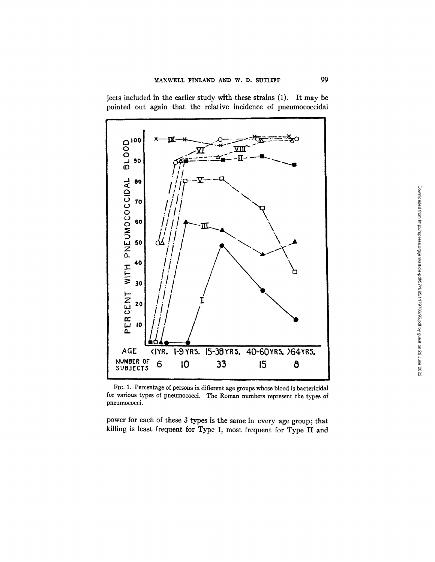jects included in the earlier study with these strains (1). It may be pointed out again that the relative incidence of pneumococcidal





power for each of these 3 types is the same in every age group; that killing is least frequent for Type I, most frequent for Type II and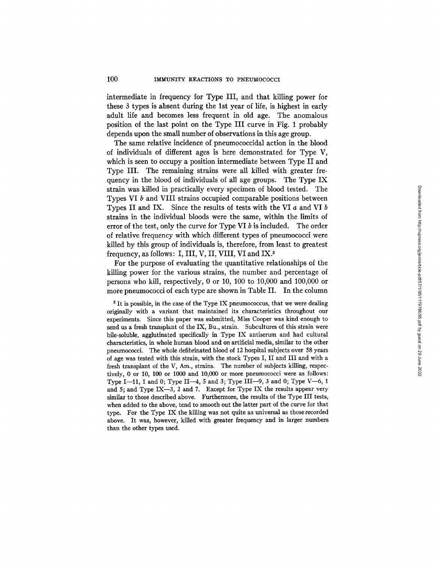intermediate in frequency for Type III, and that killing power for these 3 types is absent during the 1st year of life, is highest in early adult life and becomes less frequent in old age. The anomalous position of the last point on the Type III curve in Fig. 1 probably depends upon the small number of observations in this age group.

The same relative incidence of pneumococcidal action in the blood of individuals of different ages is here demonstrated for Type V, which is seen to occupy a position intermediate between Type II and Type III. The remaining strains were all killed with greater frequency in the blood of individuals of all age groups. The Type IX strain was killed in practically every specimen of blood tested. The Types VI b and VIII strains occupied comparable positions between Types II and IX. Since the results of tests with the VI  $a$  and VI  $b$ strains in the individual bloods were the same, within the limits of error of the test, only the curve for Type VI  $b$  is included. The order of relative frequency with which different types of pneumococci were killed by this group of individuals is, therefore, from least to greatest frequency, as follows: I, III, V, II, VIII, VI and IX. $3$ 

For the purpose of evaluating the quantitative relationships of the killing power for the various strains, the number and percentage of persons who kill, respectively, 0 or 10, 100 to 10,000 and 100,000 or more pneumococci of each type are shown in Table II. In the column

<sup>3</sup> It is possible, in the case of the Type IX pneumococcus, that we were dealing originally with a variant 'that maintained its characteristics throughout our experiments. Since this paper was submitted, Miss Cooper was kind enough to send us a fresh transplant of the IX, Bu., strain. Subcultures of this strain were bile-soluble, agglutinated specifically in Type IX antiserum and had cultural characteristics, in whole human blood and on artificial media, similar to the other pneumococci. The whole defibrinated blood of 12 hospital subjects over 58 years of age was tested with this strain, with the stock Types I, II and III and with a fresh transplant of the V, Am., strains. The number of subjects killing, respectively, 0 or 10, 100 or 1000 and 10,000 or more pneumococci were as follows: Type I-11, 1 and 0; Type II-4, 5 and 3; Type III-9, 3 and 0; Type V-6, 1 and 5; and Type IX-3, 2 and 7. Except for Type IX the results appear very similar to those described above. Furthermore, the results of the Type III tests, when added to the above, tend to smooth out the latter part of the curve for that type. For the Type IX the killing was not quite as universal as those recorded above. It was, however, killed with greater frequency and in larger numbers than the other types used.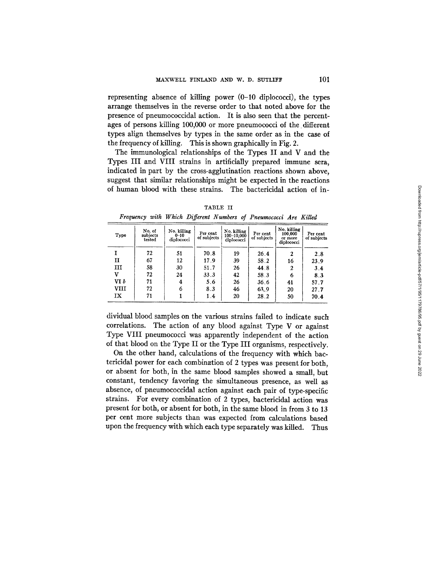**representing absence of killing power (0-10 diplococci), the types arrange themselves in the reverse order to that noted above for the presence of pneumococcidal action. It is also seen that the percentages of persons killing 100,000 or more pneumococci of the different types align themselves by types in the same order as in the case of the frequency of killing. This is shown graphically in Fig. 2.** 

**The immunological relationships of the Types II and V and the Types III and VIII strains in artificially prepared immune sera, indicated in part by the cross-agglutination reactions shown above, suggest that similar relationships might be expected in the reactions of human blood with these strains. The bactericidal action of in-**

| Type         | No. of<br>subjects<br>tested | No. killing<br>$0 - 10$<br>diplococci | Per cent<br>of subjects | No. killing<br>100-10,000<br>diplococci | Per cent<br>of subjects | No. killing<br>100.000<br>or more<br>diplococci | Per cent<br>of subjects |
|--------------|------------------------------|---------------------------------------|-------------------------|-----------------------------------------|-------------------------|-------------------------------------------------|-------------------------|
|              | 72                           | 51                                    | 70.8                    | 19                                      | 26.4                    | 2                                               | 2.8                     |
| $\mathbf{I}$ | 67                           | 12                                    | 17.9                    | 39                                      | 58.2                    | 16                                              | 23.9                    |
| Ш            | 58                           | 30                                    | 51.7                    | 26                                      | 44.8                    | 2                                               | 3.4                     |
|              | 72                           | 24                                    | 33.3                    | 42                                      | 58.3                    | 6                                               | 8.3                     |
| VI b         | 71                           | 4                                     | 5.6                     | 26                                      | 36.6                    | 41                                              | 57.7                    |
| VIII         | 72                           | 6                                     | 8.3                     | 46                                      | 63.9                    | 20                                              | 27.7                    |
| IX           | 71                           |                                       | 1.4                     | 20                                      | 28.2                    | 50                                              | 70.4                    |

TABLE II *Frequency with Which Different Numbers of Pneumococci Are Killed* 

dividual blood samples on the various strains failed to indicate such correlations. The action of any blood against Type V or against Type VIII pneumococci was apparently independent of the action of that blood on the Type II or the Type III organisms, respectively.

On the other hand, calculations of the frequency with which bactericidal power for each combination of 2 types was present for both, or absent for both, in the same blood samples showed a small, but constant, tendency favoring the simultaneous presence, as well as absence, of pneumococcidal action against each pair of type-specific strains. For every combination of 2 types, bactericidal action was present for both, or absent for both, in the same blood in from 3 to 13 per cent more subjects than was expected from calculations based upon the frequency with which each type separately was killed. Thus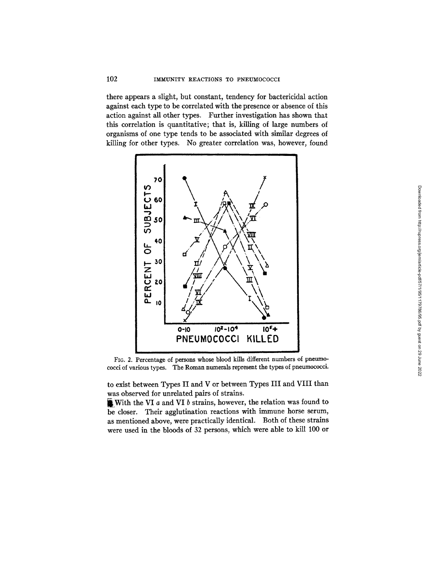there appears a slight, but constant, tendency for bactericidal action against each type to be correlated with the presence or absence of this action against all other types. Further investigation has shown that this correlation is quantitative; that is, killing of large numbers of organisms of one type tends to be associated with similar degrees of killing for other types. No greater correlation was, however, found



FIG. 2. Percentage of persons whose blood kills different numbers of pneumococci of various types. The Roman numerals represent the types of pneumococci.

to exist between Types II and V or between Types III and VIII than was observed for unrelated pairs of strains.

With the VI  $a$  and VI  $b$  strains, however, the relation was found to be closer. Their agglutination reactions with immune horse serum, as mentioned above, were practically identical. Both of these strains were used in the bloods of 32 persons, which were able to kill 100 or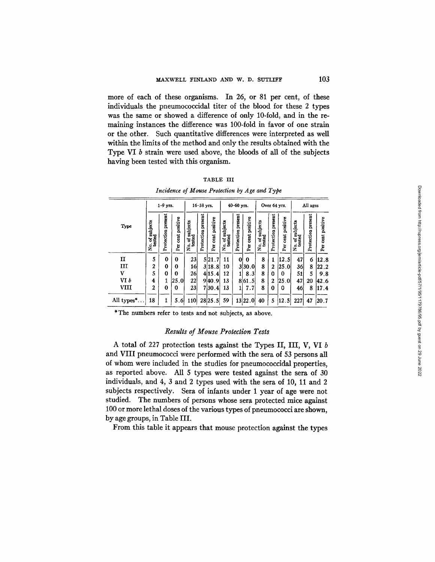more of each of these organisms. In 26, or 81 per cent, of these individuals the pneumococcidal titer of the blood for these 2 types was the same or showed a difference of only 10-fold, and in the remaining instances the difference was 100-fold in favor of one strain or the other. Such quantitative differences were interpreted as well within the limits of the method and only the results obtained with the Type VI b strain were used above, the bloods of all of the subjects having been tested with this organism.

| R<br>۰. |  |
|---------|--|
|---------|--|

| Incidence of Mouse Protection by Age and Type |  |  |  |  |  |  |  |
|-----------------------------------------------|--|--|--|--|--|--|--|
|-----------------------------------------------|--|--|--|--|--|--|--|

|                        | 1-9 yrs.                     |                    |                               | 16-38 yrs.                      |                    | 40-60 yrs.           |                                | Over 64 yrs.       |                                  |                           | All ages              |                      |                           |                    |                   |
|------------------------|------------------------------|--------------------|-------------------------------|---------------------------------|--------------------|----------------------|--------------------------------|--------------------|----------------------------------|---------------------------|-----------------------|----------------------|---------------------------|--------------------|-------------------|
| Type                   | or subjects<br>tested<br>, Š | Protection present | cent positive<br>$\mathbf{F}$ | o. of subjects<br>tested<br>Χo. | Protection present | cent positive<br>Per | v. ot subjects<br>tested<br>ż. | Protection present | cent positive<br>Per <sub></sub> | No. of subjects<br>tested | present<br>Protection | cent positive<br>Per | No. of subjects<br>tested | Protection present | Per cent positive |
| п                      | 5                            | 0                  | $\bf{0}$                      | 23                              |                    | 5 21.7               | 11                             | $\overline{0}$     | 0                                | 8                         | 1                     | 12.5                 | 47                        | 6                  | 12.8              |
| ш                      | $\overline{2}$               | 0                  | 0                             | 16                              |                    | 3 18.8               | 10                             |                    | 3 30.0                           | 8                         | 2                     | 125.OI               | 36                        | 8                  | 22.2              |
| v                      | 5                            | 0                  | 0                             | 26                              |                    | 4 15.4               | 12                             | $\mathbf{1}$       | 8.3                              | 8                         | 0                     | 0                    | 51                        | 5                  | 9.8               |
| VI b                   | 4                            | 1                  | 25.0                          | 22                              |                    | 940.9                | 13                             | 8                  | 61.5                             | 8                         | $\mathbf{z}$          | 25.0                 | 47                        | 20                 | 42.6              |
| VIII                   | $\mathbf{2}$                 | $\bf{0}$           | $\Omega$                      | 23 <sub>1</sub>                 |                    | 7 30 .4              | 13                             | 1                  | 7.7                              | 8                         | 0                     | 0                    | 46                        | 8                  | 17.4              |
| All types <sup>*</sup> | 18                           | 1                  | 5.6                           | 110                             |                    | 28 25.5              | 59                             |                    | 13 22 . 0                        | 40                        | 5                     | 12.5                 | 227                       | 47                 | 20.7              |

\* The numbers refer to tests and not subjects, as above.

## *Results of Mouse Protection Tests*

A total of 227 protection tests against the Types II, III, V, VI b and VIII pneumococci were performed with the sera of 53 persons all of whom were included in the studies for pneumococcidal properties, as reported above. All 5 types were tested against the sera of 30 individuals, and 4, 3 and 2 types used with the sera of 10, 11 and 2 subjects respectively. Sera of infants under 1 year of age were not studied. The numbers of persons whose sera protected mice against 100 or more lethal doses of the various types of pneumococci are shown, by age groups, in Table III.

From this table it appears that mouse protection against the types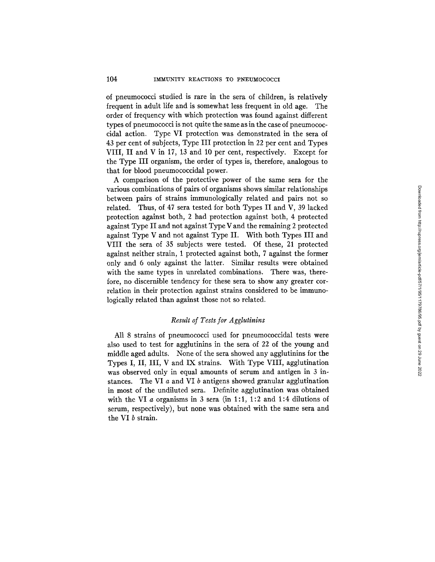of pneumococci studied is rare in the sera of children, is relatively frequent in adult life and is somewhat less frequent in old age. The order of frequency with which protection was found against different types of pneumococci is not quite the same as in the case of pneumococcidal action. Type VI protection was demonstrated in the sera of 43 per cent of subjects, Type III protection in 22 per cent and Types VIII, II and V in 17, 13 and 10 per cent, respectively. Except for the Type III organism, the order of types is, therefore, analogous to that for blood pneumococcidal power.

A comparison of the protective power of the same sera for the various combinations of pairs of organisms shows similar relationships between pairs of strains immunologically related and pairs not so related. Thus, of 47 sera tested for both Types II and V, 39 lacked protection against both, 2 had protection against both, 4 protected against Type II and not against Type V and the remaining 2 protected against Type V and not against Type II. With both Types III and VIII the sera of 35 subjects were tested. Of these, 21 protected against neither strain, 1 protected against both, 7 against the former only and 6 only against the latter. Similar results were obtained with the same types in unrelated combinations. There was, therefore, no discernible tendency for these sera to show any greater correlation in their protection against strains considered to be immunologically related than against those not so related.

# *Result of Tests for Agglutinins*

All 8 strains of pneumococci used for pneumococcidal tests were also used to test for agglutinins in the sera of 22 of the young and middle aged adults. None of the sera showed any agglutinins for the Types I, II, III, V and IX strains. With Type VIII, agglutination was observed only in equal amounts of serum and antigen in 3 instances. The VI  $a$  and VI  $b$  antigens showed granular agglutination in most of the undiluted sera. Definite agglutination was obtained with the VI *a* organisms in 3 sera (in 1:1, 1:2 and 1:4 dilutions of serum, respectively), but none was obtained with the same sera and the VI b strain.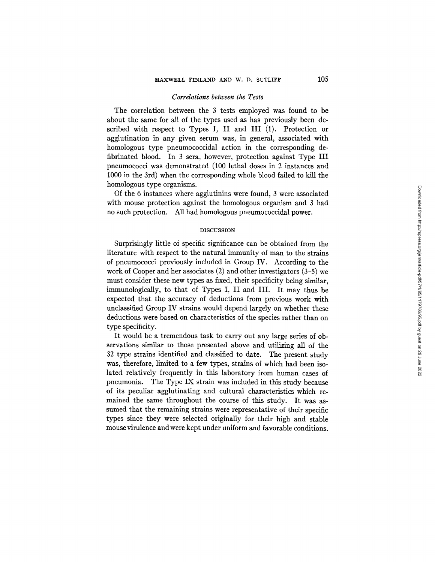#### *Correlations between the Tests*

The correlation between the 3 tests employed was found to be about the same for all of the types used as has previously been described with respect to Types I, II and III (1). Protection or agglutination in any given serum was, in general, associated with homologous type pneumococcidal action in the corresponding defibrinated blood. In 3 sera, however, protection against Type III pneumococci was demonstrated (100 lethal doses in 2 instances and 1000 in the 3rd) when the corresponding whole blood failed to kill the homologous type organisms.

Of the 6 instances where agglutinins were found, 3 were associated with mouse protection against the homologous organism and 3 had no such protection. All had homologous pneumococcidal power.

# DISCUSSION

Surprisingly little of specific significance can be obtained from the literature with respect to the natural immunity of man to the strains of pneumococci previously included in Group IV. According to the work of Cooper and her associates (2) and other investigators (3-5) we must consider these new types as fixed, their specificity being similar, immunologically, to that of Types I, II and III. It may thus be expected that the accuracy of deductions from previous work with unclassified Group IV strains would depend largely on whether these deductions were based on characteristics of the species rather than on type specificity.

It would be a tremendous task to carry out any large series of observations similar to those presented above and utilizing all of the 32 type strains identified and classified to date. The present study was, therefore, limited to a few types, strains of which had been isolated relatively frequently in this laboratory from human cases of pneumonia. The Type IX strain was included in this study because of its peculiar agglutinating and cultural characteristics which remained the same throughout the course of this study. It was assumed that the remaining strains were representative of their specific types since they were selected originally for their high and stable mouse virulence and were kept under uniform and favorable conditions.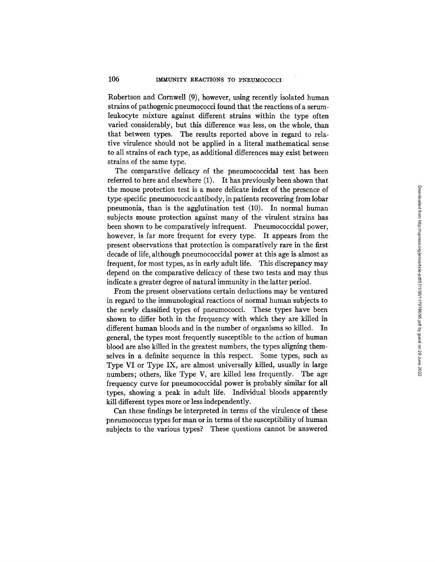Robertson and Cornwell (9), however, using recently isolated human strains of pathogenic pneumococci found that the reactions of a serumleukocyte mixture against different strains within the type often varied considerably, but this difference was less, on the whole, than that between types. The results reported above in regard to relative virulence should not be applied in a literal mathematical sense to all strains of each type, as additional differences may exist between strains of the same type.

The comparative delicacy of the pneumococcidal test has been referred to here and elsewhere (1). It has previously been shown that the mouse protection test is a more delicate index of the presence of type-specific pneumococcic antibody, in patients recovering from lobar pneumonia, than is the agglutination test (10). In normal human subjects mouse protection against many of the virulent strains has been shown to be comparatively infrequent. Pneumococcidal power, however, is far more frequent for every type. It appears from the present observations that protection is comparatively rare in the first decade of life, although pneumococcidal power at this age is almost as frequent, for most types, as in early adult life. This discrepancy may depend on the comparative delicacy of these two tests and may thus indicate a greater degree of natural immunity in the latter period.

From the present observations certain deductions may be ventured in regard to the immunological reactions of normal human subjects to the newly classified types of pneumococci. These types have been shown to differ both in the frequency with which they are killed in different human bloods and in the number of organisms so killed. In general, the types most frequently susceptible to the action of human blood are also killed in the greatest numbers, the types aligning themselves in a definite sequence in this respect. Some types, such as Type VI or Type IX, are almost universally killed, usually in large numbers; others, like Type V, are killed less frequently. The age frequency curve for pneumococcidal power is probably similar for all types, showing a peak in adult life. Individual bloods apparently kill different types more or less independently.

Can these findings be interpreted in terms of the virulence of these pneumococcus types for man or in terms of the susceptibility of human subjects to the various types? These questions cannot be answered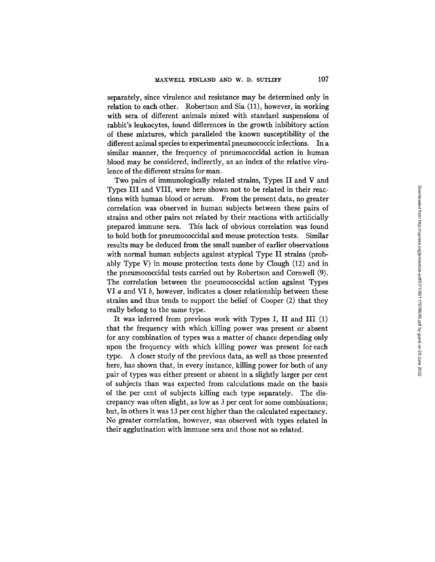separately, since virulence and resistance may be determined only in relation to each other. Robertson and Sia (11), however, in working with sera of different animals mixed with standard suspensions of rabbit's leukocytes, found differences in the growth inhibitory action of these mixtures, which paralleled the known susceptibility of the different animal species to experimental pneumococcic infections. In a similar manner, the frequency of pneumococcidal action in human blood may be considered, indirectly, as an index of the relative virulence of the different strains for man.

Two pairs of immunologically related strains, Types II and V and Types III and VIII, were here shown not to be related in their reactions with human blood or serum. From the present data, no greater correlation was observed in human subjects between these pairs of strains and other pairs not related by their reactions with artificially prepared immune sera. This lack of obvious correlation was found to hold both for pneumococcidal and mouse protection tests. Similar results may be deduced from the small number of earlier observations with normal human subjects against atypical Type II strains (probably Type V) in mouse protection tests done by Clough (12) and in the pneumococcidal tests carried out by Robertson and Cornwell (9). The correlation between the pneumococcidal action against Types VI  $a$  and VI  $b$ , however, indicates a closer relationship between these strains and thus tends to support the belief of Cooper (2) that they really belong to the same type.

It was inferred from previous work with Types I, II and III (1) that the frequency with which killing power was present or absent for any combination of types was a matter of chance depending only upon the frequency with which killing power was present for each type. A closer study of the previous data, as well as those presented here, has shown that, in every instance, killing power for both of any pair of types was either present or absent in a slightly larger per cent of subjects than was expected from calculations made on the basis of the per cent of subjects killing each type separately. The discrepancy was often slight, as low as 3 per cent for some combinations; but, in others it was 13 per cent higher than the calculated expectancy. No greater correlation, however, was observed with types related in their agglutination with immune sera and those not so related.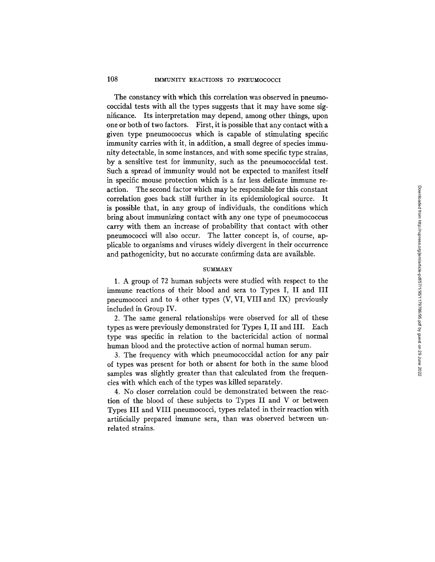# 108 **IMMUNITY REACTIONS TO PNEUMOCOCCI**

The constancy with which this correlation was observed in pneumococcidal tests with all the types suggests that it may have some significance. Its interpretation may depend, among other things, upon one or both of two factors. First, it is possible that any contact with a given type pneumococcus which is capable of stimulating specific immunity carries with it, in addition, a small degree of species immunity detectable, in some instances, and with some specific type strains, by a sensitive test for immunity, such as the pneumococcidal test. Such a spread of immunity would not be expected to manifest itself in specific mouse protection which is a far less delicate immune reaction. The second factor which may be responsible for this constant correlation goes back still further in its epidemiological source. It is possible that, in any group of individuals, the conditions which bring about immunizing contact with any one type of pneumococcus carry with them an increase of probability that contact with other pneumococci will also occur. The latter concept is, of course, applicable to organisms and viruses widely divergent in their occurrence and pathogenicity, but no accurate confirming data are available.

## SUMMARY

1. A group of 72 human subjects were studied with respect to the immune reactions of their blood and sera to Types I, II and III pneumococci and to 4 other types (V, VI, VIII and IX) previously included in Group IV.

2. The same general relationships were observed for all of these types as were previously demonstrated for Types I, II and III. Each type was specific in relation to the bactericidal action of normal human blood and the protective action of normal human serum.

3. The frequency with which pneumococcidal action for any pair of types was present for both or absent for both in the same blood samples was slightly greater than that calculated from the frequencies with which each of the types was killed separately.

4. No closer correlation could be demonstrated between the reaction of the blood of these subjects to Types II and V or between Types III and VIII pneumococci, types related in their reaction with artificially prepared immune sera, than was observed between unrelated strains.